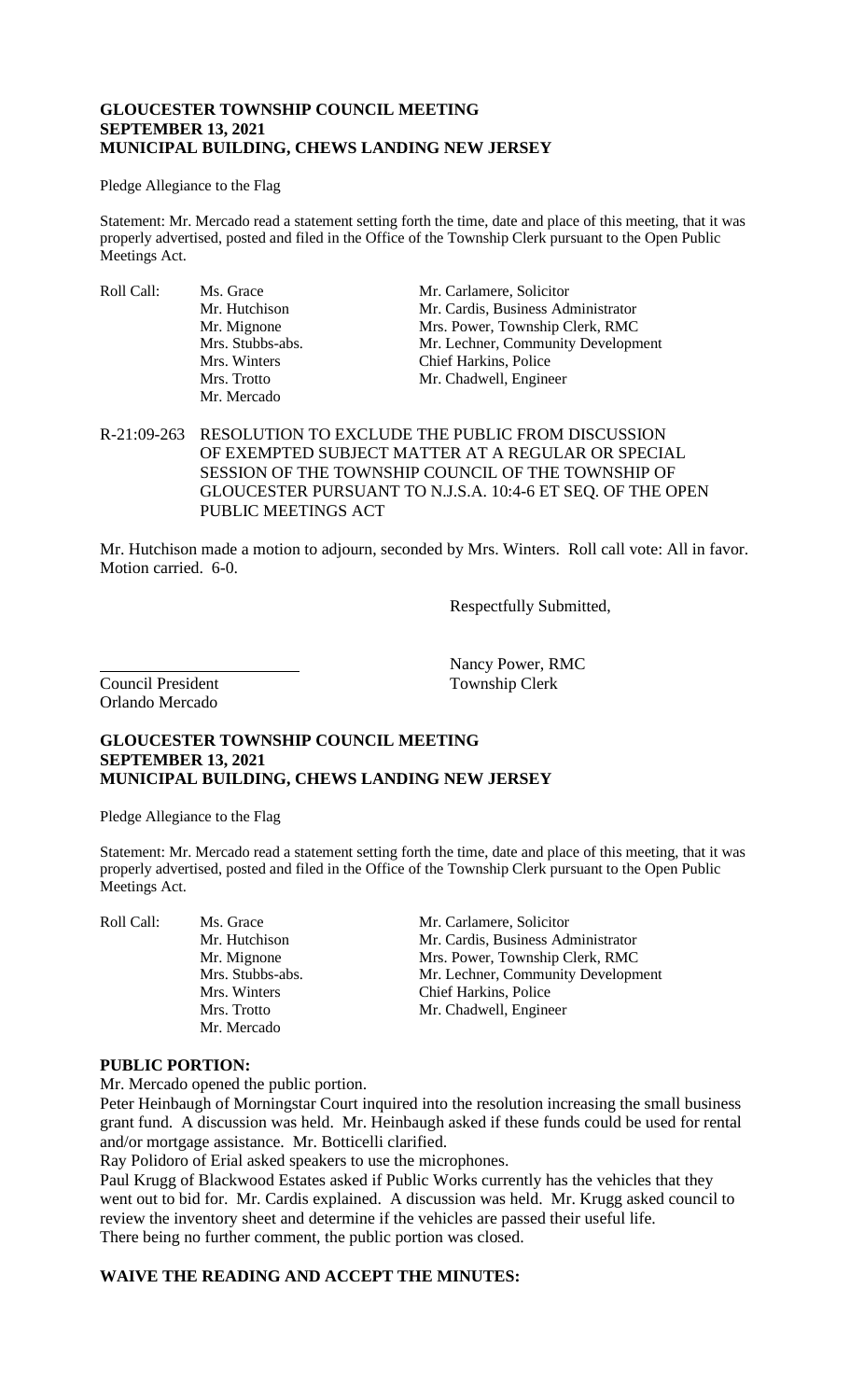## **GLOUCESTER TOWNSHIP COUNCIL MEETING SEPTEMBER 13, 2021 MUNICIPAL BUILDING, CHEWS LANDING NEW JERSEY**

#### Pledge Allegiance to the Flag

Statement: Mr. Mercado read a statement setting forth the time, date and place of this meeting, that it was properly advertised, posted and filed in the Office of the Township Clerk pursuant to the Open Public Meetings Act.

Roll Call: Ms. Grace Mr. Carlamere, Solicitor<br>Mr. Hutchison Mr. Cardis, Business Adı Mr. Mercado

Mr. Cardis, Business Administrator Mr. Mignone Mrs. Power, Township Clerk, RMC Mrs. Stubbs-abs. Mr. Lechner, Community Development Mrs. Winters Chief Harkins, Police Mrs. Trotto Mr. Chadwell, Engineer

R-21:09-263 RESOLUTION TO EXCLUDE THE PUBLIC FROM DISCUSSION OF EXEMPTED SUBJECT MATTER AT A REGULAR OR SPECIAL SESSION OF THE TOWNSHIP COUNCIL OF THE TOWNSHIP OF GLOUCESTER PURSUANT TO N.J.S.A. 10:4-6 ET SEQ. OF THE OPEN PUBLIC MEETINGS ACT

Mr. Hutchison made a motion to adjourn, seconded by Mrs. Winters. Roll call vote: All in favor. Motion carried. 6-0.

Respectfully Submitted,

Council President Township Clerk Orlando Mercado

Nancy Power, RMC

# **GLOUCESTER TOWNSHIP COUNCIL MEETING SEPTEMBER 13, 2021 MUNICIPAL BUILDING, CHEWS LANDING NEW JERSEY**

Pledge Allegiance to the Flag

Statement: Mr. Mercado read a statement setting forth the time, date and place of this meeting, that it was properly advertised, posted and filed in the Office of the Township Clerk pursuant to the Open Public Meetings Act.

Mr. Mercado

Roll Call: Ms. Grace Mr. Carlamere, Solicitor Mr. Carlamere, Solicitor Mr. Hutchison Mr. Cardis, Business Adm Mr. Cardis, Business Administrator Mr. Mignone Mrs. Power, Township Clerk, RMC Mrs. Stubbs-abs. Mr. Lechner, Community Development Mrs. Winters Chief Harkins, Police Mrs. Trotto Mr. Chadwell, Engineer

#### **PUBLIC PORTION:**

Mr. Mercado opened the public portion.

Peter Heinbaugh of Morningstar Court inquired into the resolution increasing the small business grant fund. A discussion was held. Mr. Heinbaugh asked if these funds could be used for rental and/or mortgage assistance. Mr. Botticelli clarified.

Ray Polidoro of Erial asked speakers to use the microphones.

Paul Krugg of Blackwood Estates asked if Public Works currently has the vehicles that they went out to bid for. Mr. Cardis explained. A discussion was held. Mr. Krugg asked council to review the inventory sheet and determine if the vehicles are passed their useful life. There being no further comment, the public portion was closed.

## **WAIVE THE READING AND ACCEPT THE MINUTES:**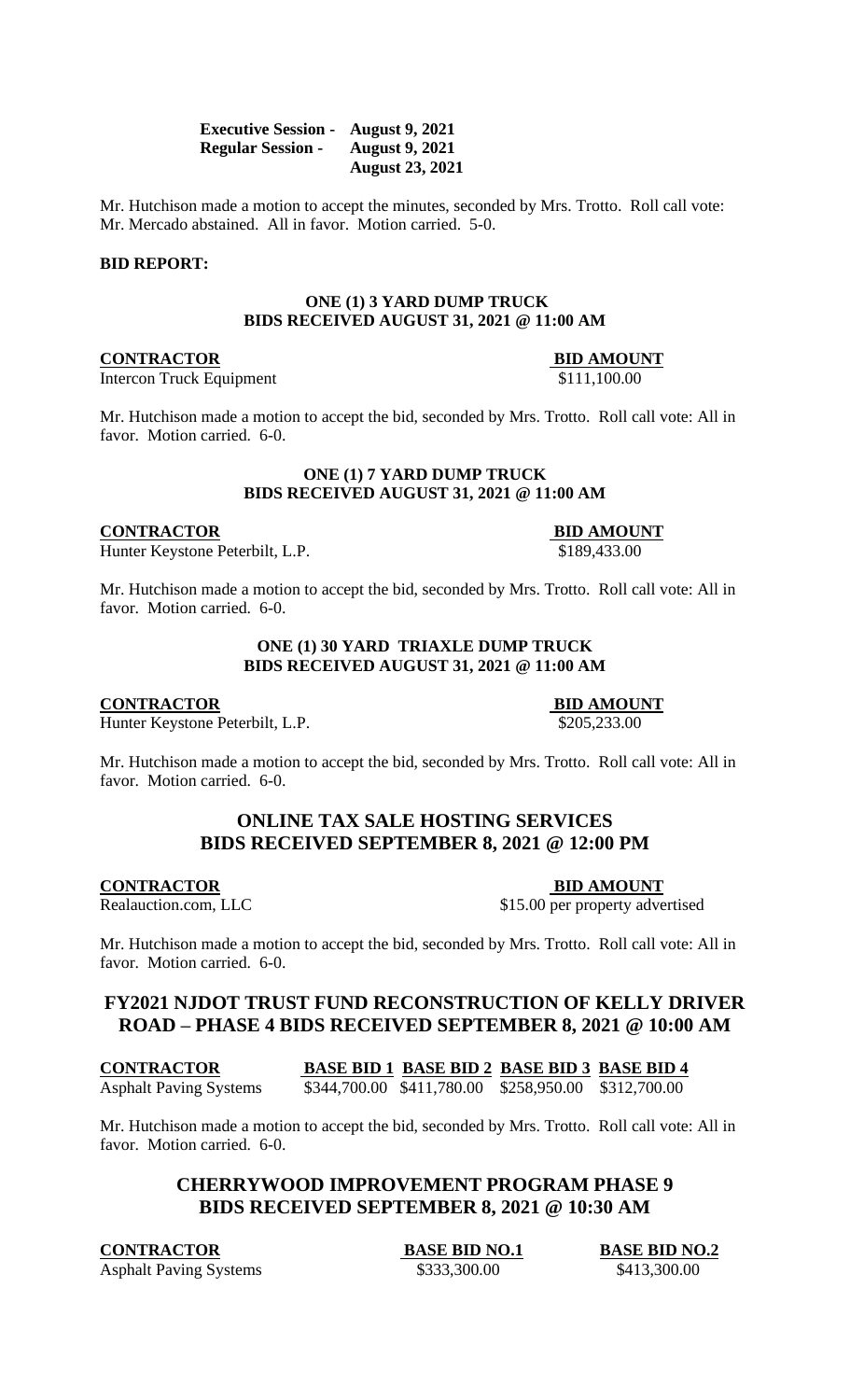| <b>Executive Session -</b> | <b>August 9, 2021</b>  |
|----------------------------|------------------------|
| <b>Regular Session -</b>   | <b>August 9, 2021</b>  |
|                            | <b>August 23, 2021</b> |

Mr. Hutchison made a motion to accept the minutes, seconded by Mrs. Trotto. Roll call vote: Mr. Mercado abstained. All in favor. Motion carried. 5-0.

#### **BID REPORT:**

#### **ONE (1) 3 YARD DUMP TRUCK BIDS RECEIVED AUGUST 31, 2021 @ 11:00 AM**

## **CONTRACTOR BID AMOUNT**

Intercon Truck Equipment \$111,100.00

Mr. Hutchison made a motion to accept the bid, seconded by Mrs. Trotto. Roll call vote: All in favor. Motion carried. 6-0.

#### **ONE (1) 7 YARD DUMP TRUCK BIDS RECEIVED AUGUST 31, 2021 @ 11:00 AM**

**CONTRACTOR BID AMOUNT**

Hunter Keystone Peterbilt, L.P.  $$189,433.00$ 

Mr. Hutchison made a motion to accept the bid, seconded by Mrs. Trotto. Roll call vote: All in favor. Motion carried. 6-0.

## **ONE (1) 30 YARD TRIAXLE DUMP TRUCK BIDS RECEIVED AUGUST 31, 2021 @ 11:00 AM**

**CONTRACTOR BID AMOUNT**

Hunter Keystone Peterbilt, L.P.  $$205,233.00$ 

Mr. Hutchison made a motion to accept the bid, seconded by Mrs. Trotto. Roll call vote: All in favor. Motion carried. 6-0.

# **ONLINE TAX SALE HOSTING SERVICES BIDS RECEIVED SEPTEMBER 8, 2021 @ 12:00 PM**

**CONTRACTOR**<br>Realauction.com, LLC<br>\$15.00 per property adve

\$15.00 per property advertised

Mr. Hutchison made a motion to accept the bid, seconded by Mrs. Trotto. Roll call vote: All in favor. Motion carried. 6-0.

# **FY2021 NJDOT TRUST FUND RECONSTRUCTION OF KELLY DRIVER ROAD – PHASE 4 BIDS RECEIVED SEPTEMBER 8, 2021 @ 10:00 AM**

**CONTRACTOR BASE BID 1 BASE BID 2 BASE BID 3 BASE BID 4** Asphalt Paving Systems \$344,700.00 \$411,780.00 \$258,950.00 \$312,700.00

Mr. Hutchison made a motion to accept the bid, seconded by Mrs. Trotto. Roll call vote: All in favor. Motion carried. 6-0.

# **CHERRYWOOD IMPROVEMENT PROGRAM PHASE 9 BIDS RECEIVED SEPTEMBER 8, 2021 @ 10:30 AM**

**CONTRACTOR BASE BID NO.1 BASE BID NO.2** Asphalt Paving Systems  $$333,300.00$   $$413,300.00$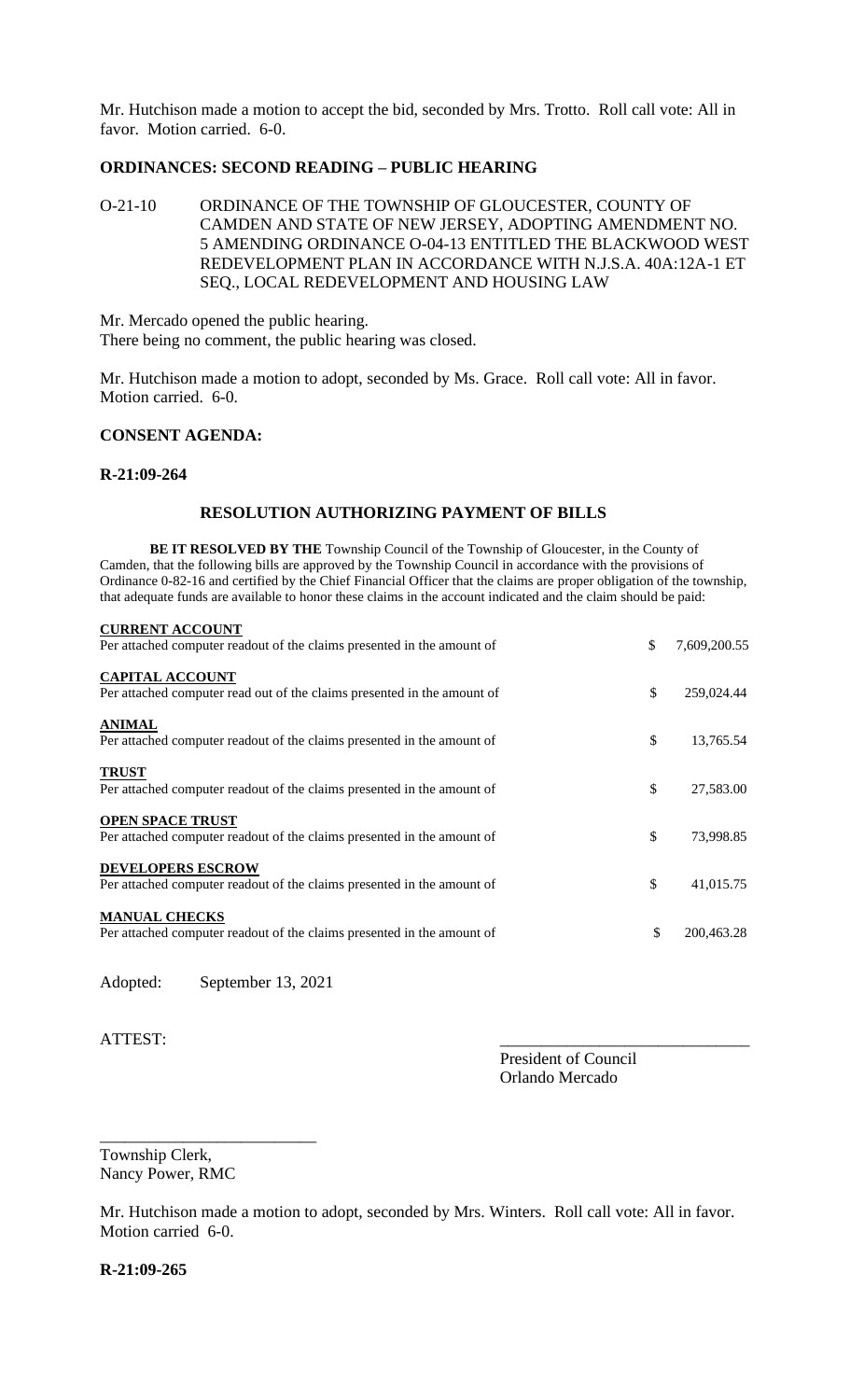Mr. Hutchison made a motion to accept the bid, seconded by Mrs. Trotto. Roll call vote: All in favor. Motion carried. 6-0.

## **ORDINANCES: SECOND READING – PUBLIC HEARING**

O-21-10 ORDINANCE OF THE TOWNSHIP OF GLOUCESTER, COUNTY OF CAMDEN AND STATE OF NEW JERSEY, ADOPTING AMENDMENT NO. 5 AMENDING ORDINANCE O-04-13 ENTITLED THE BLACKWOOD WEST REDEVELOPMENT PLAN IN ACCORDANCE WITH N.J.S.A. 40A:12A-1 ET SEQ., LOCAL REDEVELOPMENT AND HOUSING LAW

Mr. Mercado opened the public hearing. There being no comment, the public hearing was closed.

Mr. Hutchison made a motion to adopt, seconded by Ms. Grace. Roll call vote: All in favor. Motion carried. 6-0.

#### **CONSENT AGENDA:**

**CURRENT ACCOUNT**

#### **R-21:09-264**

#### **RESOLUTION AUTHORIZING PAYMENT OF BILLS**

**BE IT RESOLVED BY THE** Township Council of the Township of Gloucester, in the County of Camden, that the following bills are approved by the Township Council in accordance with the provisions of Ordinance 0-82-16 and certified by the Chief Financial Officer that the claims are proper obligation of the township, that adequate funds are available to honor these claims in the account indicated and the claim should be paid:

| <b>CURRENT ACCOUNT</b>                                                                             |                    |
|----------------------------------------------------------------------------------------------------|--------------------|
| Per attached computer readout of the claims presented in the amount of                             | \$<br>7,609,200.55 |
| <b>CAPITAL ACCOUNT</b><br>Per attached computer read out of the claims presented in the amount of  | \$<br>259,024.44   |
| <b>ANIMAL</b><br>Per attached computer readout of the claims presented in the amount of            | \$<br>13,765.54    |
| <b>TRUST</b><br>Per attached computer readout of the claims presented in the amount of             | \$<br>27,583.00    |
| <b>OPEN SPACE TRUST</b><br>Per attached computer readout of the claims presented in the amount of  | \$<br>73,998.85    |
| <b>DEVELOPERS ESCROW</b><br>Per attached computer readout of the claims presented in the amount of | \$<br>41,015.75    |
| <b>MANUAL CHECKS</b><br>Per attached computer readout of the claims presented in the amount of     | \$<br>200,463.28   |

Adopted: September 13, 2021

\_\_\_\_\_\_\_\_\_\_\_\_\_\_\_\_\_\_\_\_\_\_\_\_\_\_

ATTEST:

President of Council Orlando Mercado

Township Clerk, Nancy Power, RMC

Mr. Hutchison made a motion to adopt, seconded by Mrs. Winters. Roll call vote: All in favor. Motion carried 6-0.

**R-21:09-265**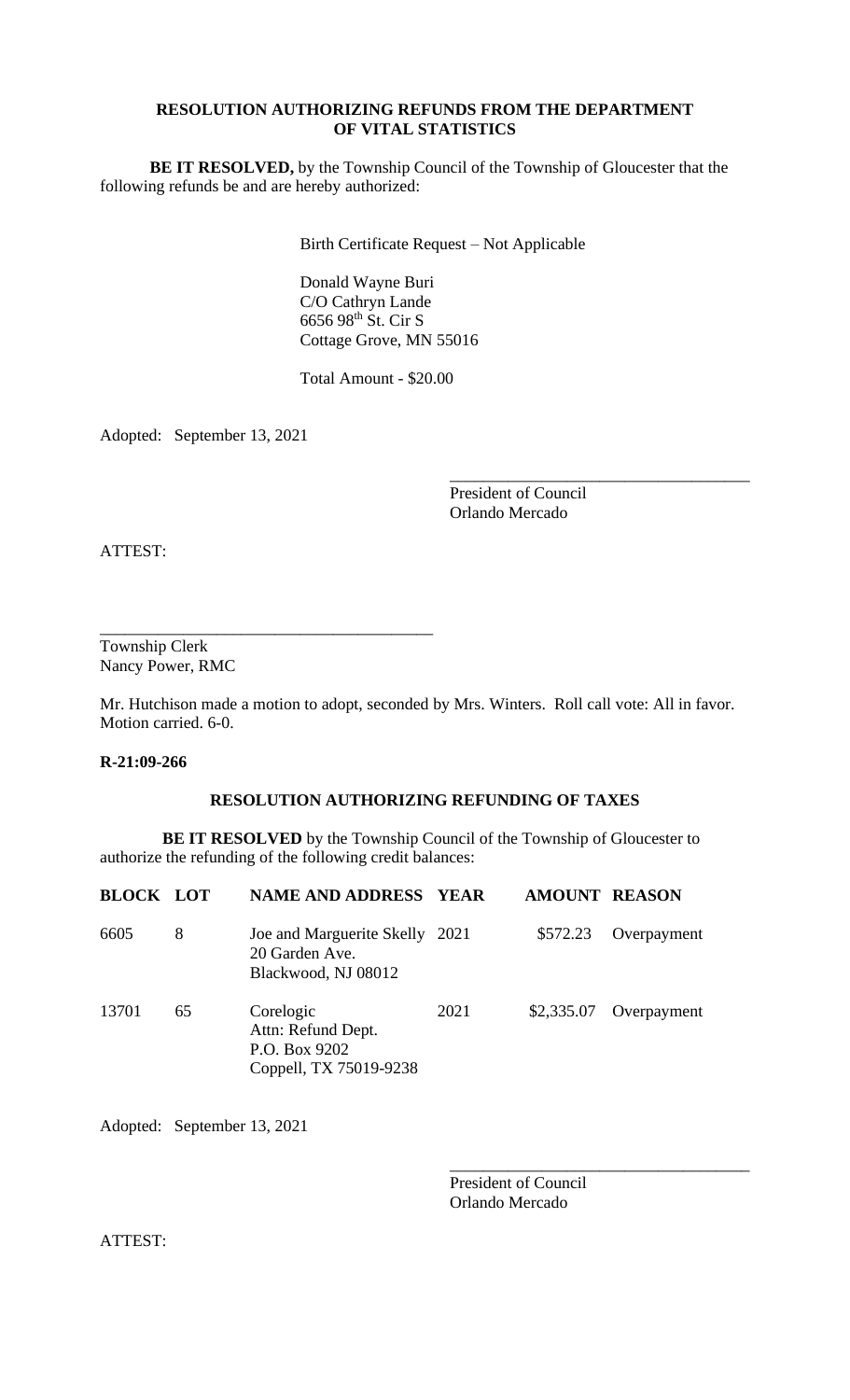# **RESOLUTION AUTHORIZING REFUNDS FROM THE DEPARTMENT OF VITAL STATISTICS**

**BE IT RESOLVED,** by the Township Council of the Township of Gloucester that the following refunds be and are hereby authorized:

Birth Certificate Request – Not Applicable

Donald Wayne Buri C/O Cathryn Lande 6656 98th St. Cir S Cottage Grove, MN 55016

Total Amount - \$20.00

Adopted: September 13, 2021

\_\_\_\_\_\_\_\_\_\_\_\_\_\_\_\_\_\_\_\_\_\_\_\_\_\_\_\_\_\_\_\_\_\_\_\_\_\_\_\_

President of Council Orlando Mercado

\_\_\_\_\_\_\_\_\_\_\_\_\_\_\_\_\_\_\_\_\_\_\_\_\_\_\_\_\_\_\_\_\_\_\_\_

ATTEST:

Township Clerk Nancy Power, RMC

Mr. Hutchison made a motion to adopt, seconded by Mrs. Winters. Roll call vote: All in favor. Motion carried. 6-0.

**R-21:09-266**

# **RESOLUTION AUTHORIZING REFUNDING OF TAXES**

**BE IT RESOLVED** by the Township Council of the Township of Gloucester to authorize the refunding of the following credit balances:

| <b>BLOCK LOT</b> |    | <b>NAME AND ADDRESS YEAR</b>                                               |      | <b>AMOUNT REASON</b> |             |
|------------------|----|----------------------------------------------------------------------------|------|----------------------|-------------|
| 6605             | 8  | Joe and Marguerite Skelly 2021<br>20 Garden Ave.<br>Blackwood, NJ 08012    |      | \$572.23             | Overpayment |
| 13701            | 65 | Corelogic<br>Attn: Refund Dept.<br>P.O. Box 9202<br>Coppell, TX 75019-9238 | 2021 | \$2,335.07           | Overpayment |

Adopted: September 13, 2021

President of Council Orlando Mercado

\_\_\_\_\_\_\_\_\_\_\_\_\_\_\_\_\_\_\_\_\_\_\_\_\_\_\_\_\_\_\_\_\_\_\_\_

ATTEST: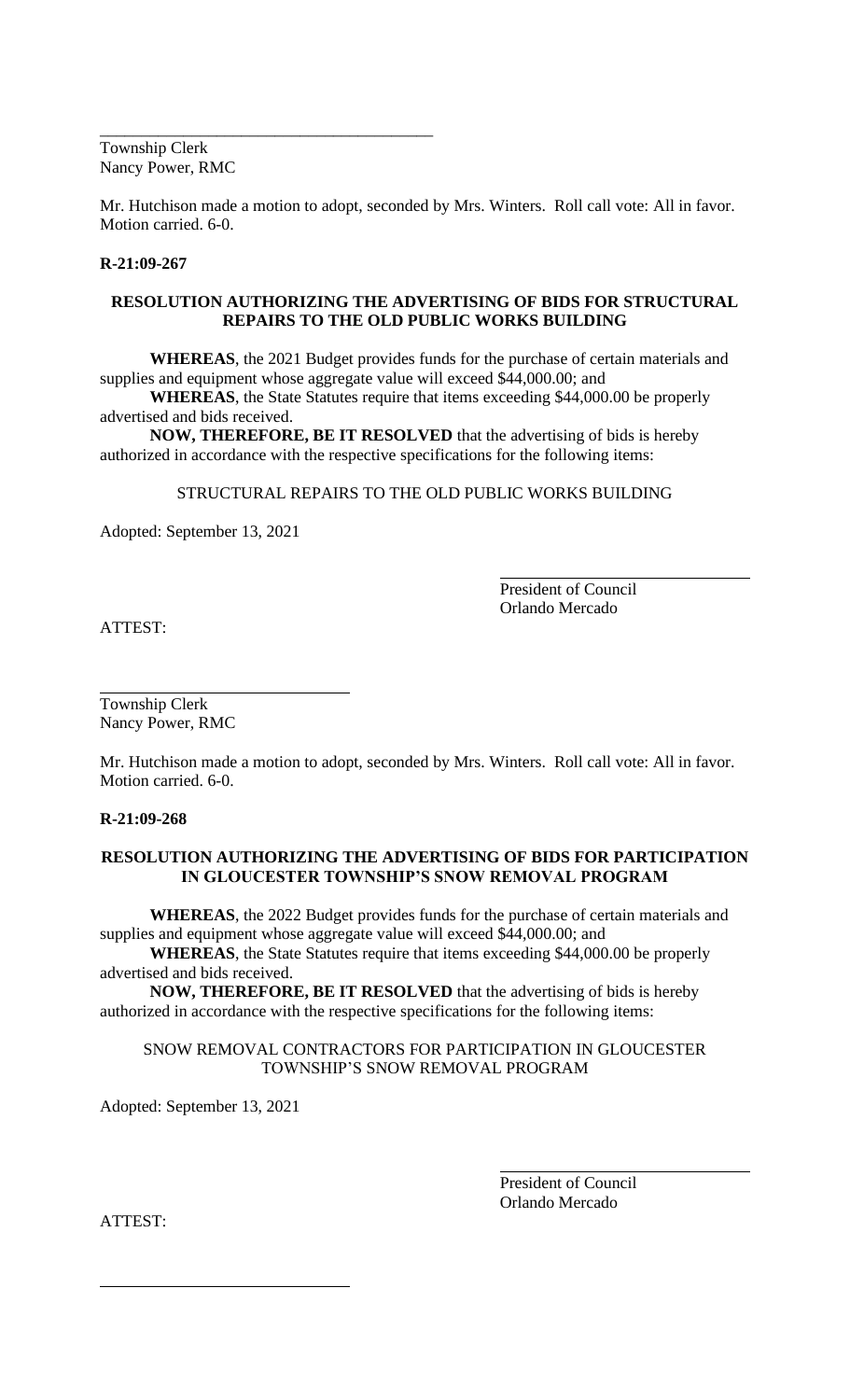Township Clerk Nancy Power, RMC

\_\_\_\_\_\_\_\_\_\_\_\_\_\_\_\_\_\_\_\_\_\_\_\_\_\_\_\_\_\_\_\_\_\_\_\_\_\_\_\_

Mr. Hutchison made a motion to adopt, seconded by Mrs. Winters. Roll call vote: All in favor. Motion carried. 6-0.

#### **R-21:09-267**

### **RESOLUTION AUTHORIZING THE ADVERTISING OF BIDS FOR STRUCTURAL REPAIRS TO THE OLD PUBLIC WORKS BUILDING**

**WHEREAS**, the 2021 Budget provides funds for the purchase of certain materials and supplies and equipment whose aggregate value will exceed \$44,000.00; and

**WHEREAS**, the State Statutes require that items exceeding \$44,000.00 be properly advertised and bids received.

**NOW, THEREFORE, BE IT RESOLVED** that the advertising of bids is hereby authorized in accordance with the respective specifications for the following items:

## STRUCTURAL REPAIRS TO THE OLD PUBLIC WORKS BUILDING

Adopted: September 13, 2021

President of Council Orlando Mercado

ATTEST:

Township Clerk Nancy Power, RMC

Mr. Hutchison made a motion to adopt, seconded by Mrs. Winters. Roll call vote: All in favor. Motion carried. 6-0.

**R-21:09-268**

## **RESOLUTION AUTHORIZING THE ADVERTISING OF BIDS FOR PARTICIPATION IN GLOUCESTER TOWNSHIP'S SNOW REMOVAL PROGRAM**

**WHEREAS**, the 2022 Budget provides funds for the purchase of certain materials and supplies and equipment whose aggregate value will exceed \$44,000.00; and

**WHEREAS**, the State Statutes require that items exceeding \$44,000.00 be properly advertised and bids received.

**NOW, THEREFORE, BE IT RESOLVED** that the advertising of bids is hereby authorized in accordance with the respective specifications for the following items:

## SNOW REMOVAL CONTRACTORS FOR PARTICIPATION IN GLOUCESTER TOWNSHIP'S SNOW REMOVAL PROGRAM

Adopted: September 13, 2021

President of Council Orlando Mercado

ATTEST: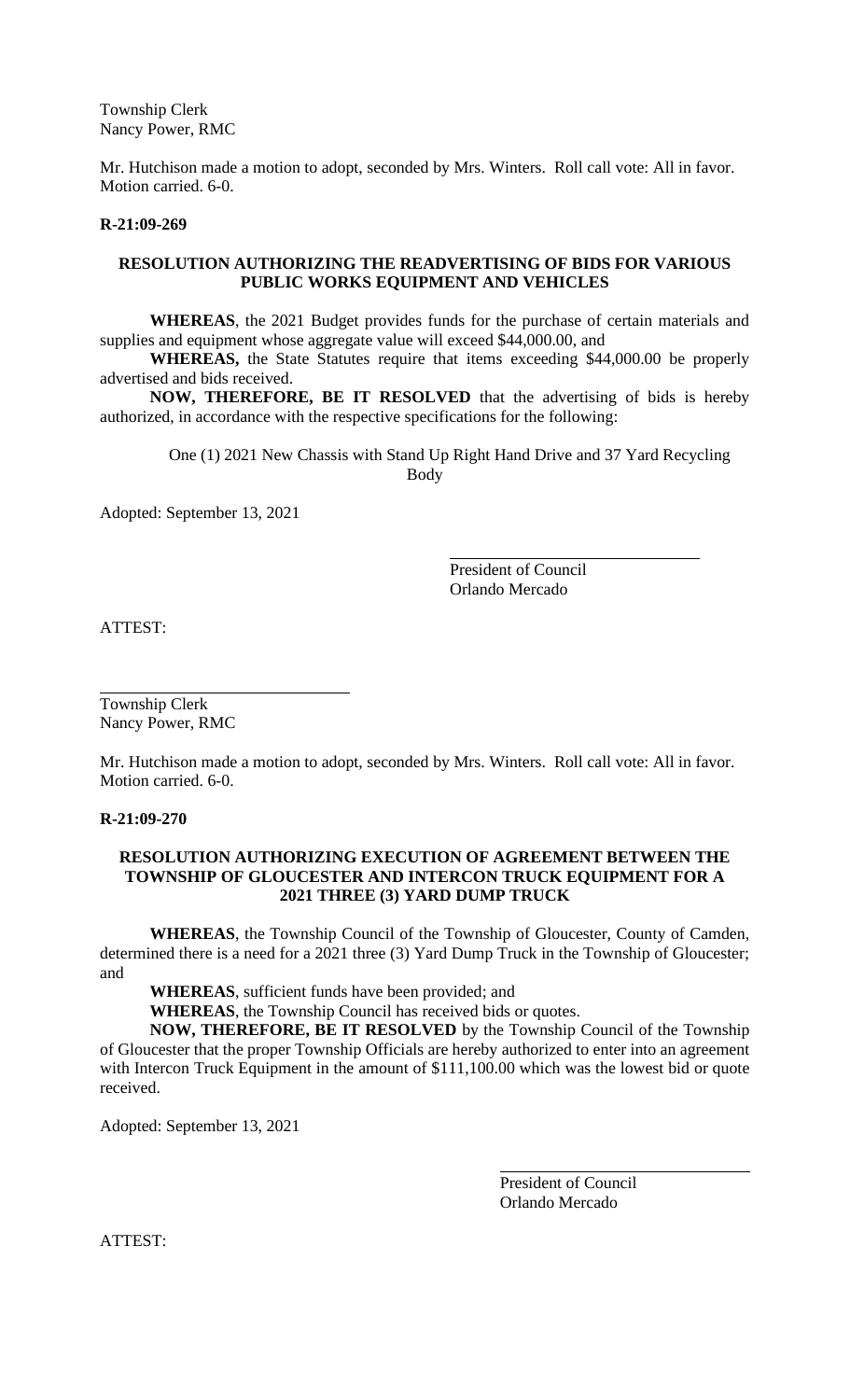Township Clerk Nancy Power, RMC

Mr. Hutchison made a motion to adopt, seconded by Mrs. Winters. Roll call vote: All in favor. Motion carried. 6-0.

#### **R-21:09-269**

## **RESOLUTION AUTHORIZING THE READVERTISING OF BIDS FOR VARIOUS PUBLIC WORKS EQUIPMENT AND VEHICLES**

**WHEREAS**, the 2021 Budget provides funds for the purchase of certain materials and supplies and equipment whose aggregate value will exceed \$44,000.00, and

**WHEREAS,** the State Statutes require that items exceeding \$44,000.00 be properly advertised and bids received.

**NOW, THEREFORE, BE IT RESOLVED** that the advertising of bids is hereby authorized, in accordance with the respective specifications for the following:

One (1) 2021 New Chassis with Stand Up Right Hand Drive and 37 Yard Recycling Body

Adopted: September 13, 2021

President of Council Orlando Mercado

ATTEST:

Township Clerk Nancy Power, RMC

Mr. Hutchison made a motion to adopt, seconded by Mrs. Winters. Roll call vote: All in favor. Motion carried. 6-0.

**R-21:09-270**

#### **RESOLUTION AUTHORIZING EXECUTION OF AGREEMENT BETWEEN THE TOWNSHIP OF GLOUCESTER AND INTERCON TRUCK EQUIPMENT FOR A 2021 THREE (3) YARD DUMP TRUCK**

**WHEREAS**, the Township Council of the Township of Gloucester, County of Camden, determined there is a need for a 2021 three (3) Yard Dump Truck in the Township of Gloucester; and

**WHEREAS**, sufficient funds have been provided; and

**WHEREAS**, the Township Council has received bids or quotes.

**NOW, THEREFORE, BE IT RESOLVED** by the Township Council of the Township of Gloucester that the proper Township Officials are hereby authorized to enter into an agreement with Intercon Truck Equipment in the amount of \$111,100.00 which was the lowest bid or quote received.

Adopted: September 13, 2021

President of Council Orlando Mercado

ATTEST: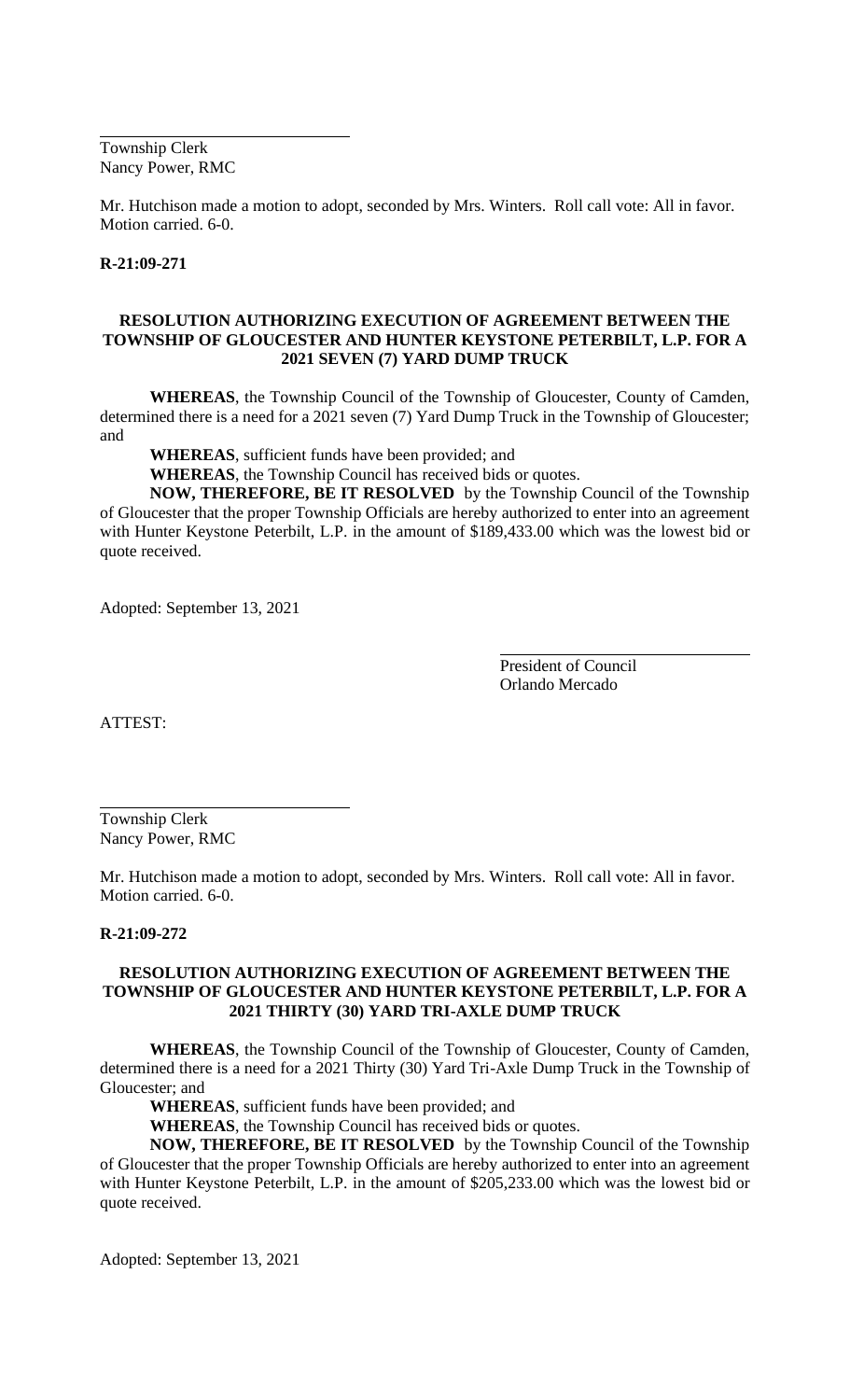Township Clerk Nancy Power, RMC

Mr. Hutchison made a motion to adopt, seconded by Mrs. Winters. Roll call vote: All in favor. Motion carried. 6-0.

#### **R-21:09-271**

## **RESOLUTION AUTHORIZING EXECUTION OF AGREEMENT BETWEEN THE TOWNSHIP OF GLOUCESTER AND HUNTER KEYSTONE PETERBILT, L.P. FOR A 2021 SEVEN (7) YARD DUMP TRUCK**

**WHEREAS**, the Township Council of the Township of Gloucester, County of Camden, determined there is a need for a 2021 seven (7) Yard Dump Truck in the Township of Gloucester; and

**WHEREAS**, sufficient funds have been provided; and

**WHEREAS**, the Township Council has received bids or quotes.

**NOW, THEREFORE, BE IT RESOLVED** by the Township Council of the Township of Gloucester that the proper Township Officials are hereby authorized to enter into an agreement with Hunter Keystone Peterbilt, L.P. in the amount of \$189,433.00 which was the lowest bid or quote received.

Adopted: September 13, 2021

President of Council Orlando Mercado

ATTEST:

Township Clerk Nancy Power, RMC

Mr. Hutchison made a motion to adopt, seconded by Mrs. Winters. Roll call vote: All in favor. Motion carried. 6-0.

#### **R-21:09-272**

## **RESOLUTION AUTHORIZING EXECUTION OF AGREEMENT BETWEEN THE TOWNSHIP OF GLOUCESTER AND HUNTER KEYSTONE PETERBILT, L.P. FOR A 2021 THIRTY (30) YARD TRI-AXLE DUMP TRUCK**

**WHEREAS**, the Township Council of the Township of Gloucester, County of Camden, determined there is a need for a 2021 Thirty (30) Yard Tri-Axle Dump Truck in the Township of Gloucester; and

**WHEREAS**, sufficient funds have been provided; and

**WHEREAS**, the Township Council has received bids or quotes.

**NOW, THEREFORE, BE IT RESOLVED** by the Township Council of the Township of Gloucester that the proper Township Officials are hereby authorized to enter into an agreement with Hunter Keystone Peterbilt, L.P. in the amount of \$205,233.00 which was the lowest bid or quote received.

Adopted: September 13, 2021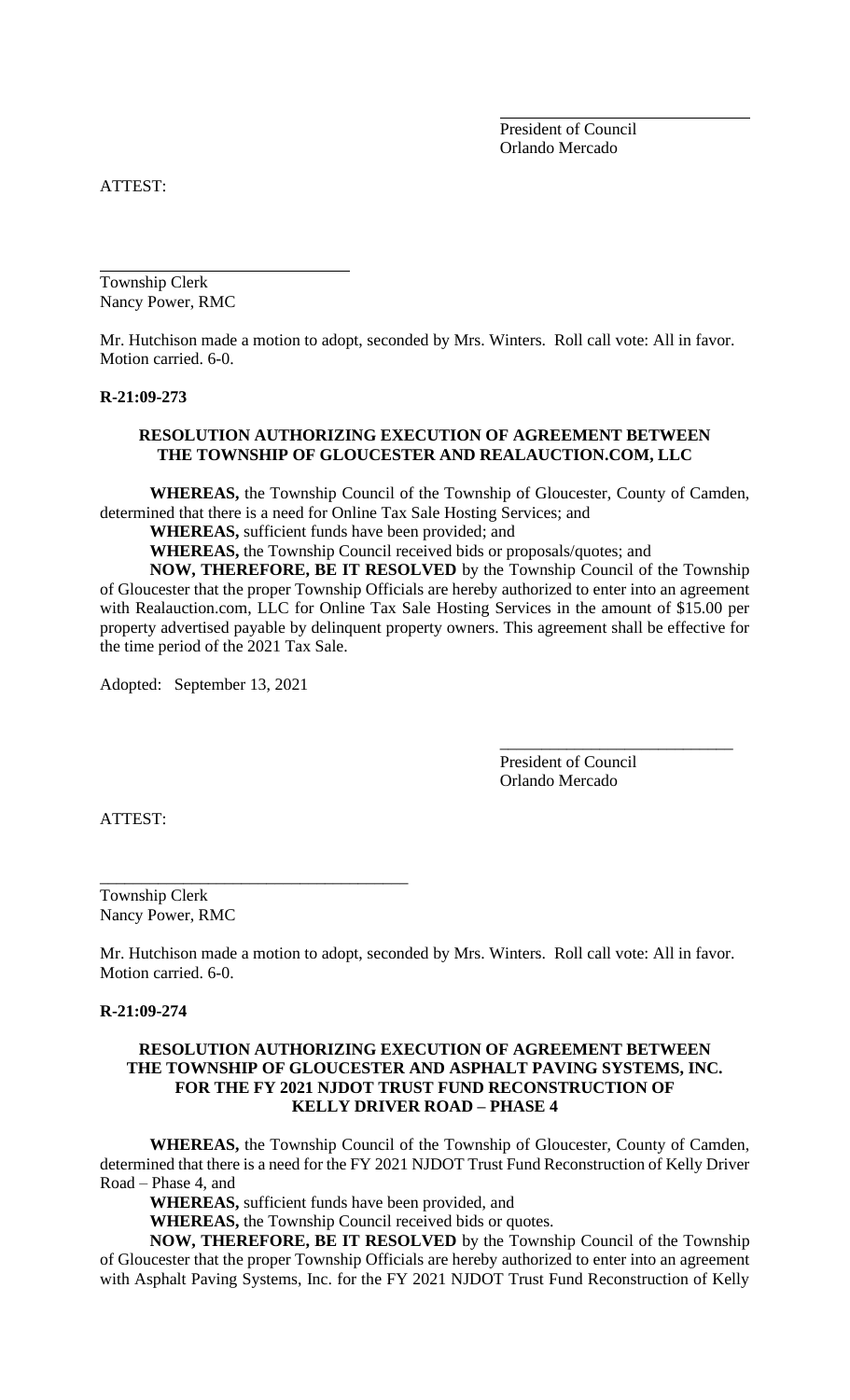President of Council Orlando Mercado

ATTEST:

Township Clerk Nancy Power, RMC

Mr. Hutchison made a motion to adopt, seconded by Mrs. Winters. Roll call vote: All in favor. Motion carried. 6-0.

#### **R-21:09-273**

## **RESOLUTION AUTHORIZING EXECUTION OF AGREEMENT BETWEEN THE TOWNSHIP OF GLOUCESTER AND REALAUCTION.COM, LLC**

**WHEREAS,** the Township Council of the Township of Gloucester, County of Camden, determined that there is a need for Online Tax Sale Hosting Services; and

**WHEREAS,** sufficient funds have been provided; and

**WHEREAS,** the Township Council received bids or proposals/quotes; and

**NOW, THEREFORE, BE IT RESOLVED** by the Township Council of the Township of Gloucester that the proper Township Officials are hereby authorized to enter into an agreement with Realauction.com, LLC for Online Tax Sale Hosting Services in the amount of \$15.00 per property advertised payable by delinquent property owners. This agreement shall be effective for the time period of the 2021 Tax Sale.

Adopted: September 13, 2021

\_\_\_\_\_\_\_\_\_\_\_\_\_\_\_\_\_\_\_\_\_\_\_\_\_\_\_\_\_\_\_\_\_\_\_\_\_

President of Council Orlando Mercado

\_\_\_\_\_\_\_\_\_\_\_\_\_\_\_\_\_\_\_\_\_\_\_\_\_\_\_\_

ATTEST:

Township Clerk Nancy Power, RMC

Mr. Hutchison made a motion to adopt, seconded by Mrs. Winters. Roll call vote: All in favor. Motion carried. 6-0.

#### **R-21:09-274**

## **RESOLUTION AUTHORIZING EXECUTION OF AGREEMENT BETWEEN THE TOWNSHIP OF GLOUCESTER AND ASPHALT PAVING SYSTEMS, INC. FOR THE FY 2021 NJDOT TRUST FUND RECONSTRUCTION OF KELLY DRIVER ROAD – PHASE 4**

**WHEREAS,** the Township Council of the Township of Gloucester, County of Camden, determined that there is a need for the FY 2021 NJDOT Trust Fund Reconstruction of Kelly Driver Road – Phase 4, and

**WHEREAS,** sufficient funds have been provided, and

**WHEREAS,** the Township Council received bids or quotes.

**NOW, THEREFORE, BE IT RESOLVED** by the Township Council of the Township of Gloucester that the proper Township Officials are hereby authorized to enter into an agreement with Asphalt Paving Systems, Inc. for the FY 2021 NJDOT Trust Fund Reconstruction of Kelly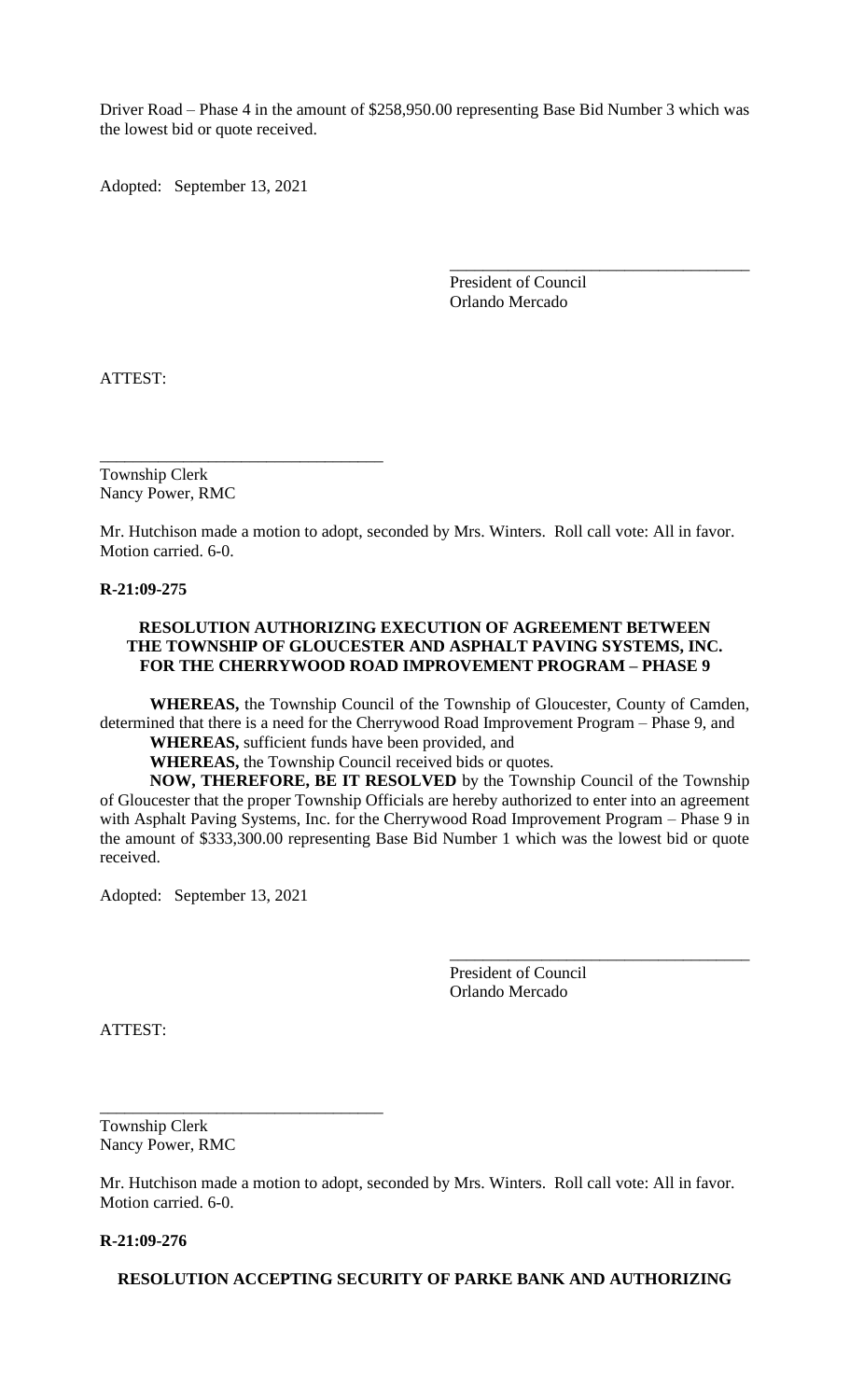Driver Road – Phase 4 in the amount of \$258,950.00 representing Base Bid Number 3 which was the lowest bid or quote received.

Adopted: September 13, 2021

President of Council Orlando Mercado

\_\_\_\_\_\_\_\_\_\_\_\_\_\_\_\_\_\_\_\_\_\_\_\_\_\_\_\_\_\_\_\_\_\_\_\_

ATTEST:

Township Clerk Nancy Power, RMC

\_\_\_\_\_\_\_\_\_\_\_\_\_\_\_\_\_\_\_\_\_\_\_\_\_\_\_\_\_\_\_\_\_\_

Mr. Hutchison made a motion to adopt, seconded by Mrs. Winters. Roll call vote: All in favor. Motion carried. 6-0.

**R-21:09-275**

## **RESOLUTION AUTHORIZING EXECUTION OF AGREEMENT BETWEEN THE TOWNSHIP OF GLOUCESTER AND ASPHALT PAVING SYSTEMS, INC. FOR THE CHERRYWOOD ROAD IMPROVEMENT PROGRAM – PHASE 9**

**WHEREAS,** the Township Council of the Township of Gloucester, County of Camden, determined that there is a need for the Cherrywood Road Improvement Program – Phase 9, and **WHEREAS,** sufficient funds have been provided, and

**WHEREAS,** the Township Council received bids or quotes.

**NOW, THEREFORE, BE IT RESOLVED** by the Township Council of the Township of Gloucester that the proper Township Officials are hereby authorized to enter into an agreement with Asphalt Paving Systems, Inc. for the Cherrywood Road Improvement Program – Phase 9 in the amount of \$333,300.00 representing Base Bid Number 1 which was the lowest bid or quote received.

Adopted: September 13, 2021

\_\_\_\_\_\_\_\_\_\_\_\_\_\_\_\_\_\_\_\_\_\_\_\_\_\_\_\_\_\_\_\_\_\_

President of Council Orlando Mercado

\_\_\_\_\_\_\_\_\_\_\_\_\_\_\_\_\_\_\_\_\_\_\_\_\_\_\_\_\_\_\_\_\_\_\_\_

ATTEST:

Township Clerk Nancy Power, RMC

Mr. Hutchison made a motion to adopt, seconded by Mrs. Winters. Roll call vote: All in favor. Motion carried. 6-0.

**R-21:09-276**

**RESOLUTION ACCEPTING SECURITY OF PARKE BANK AND AUTHORIZING**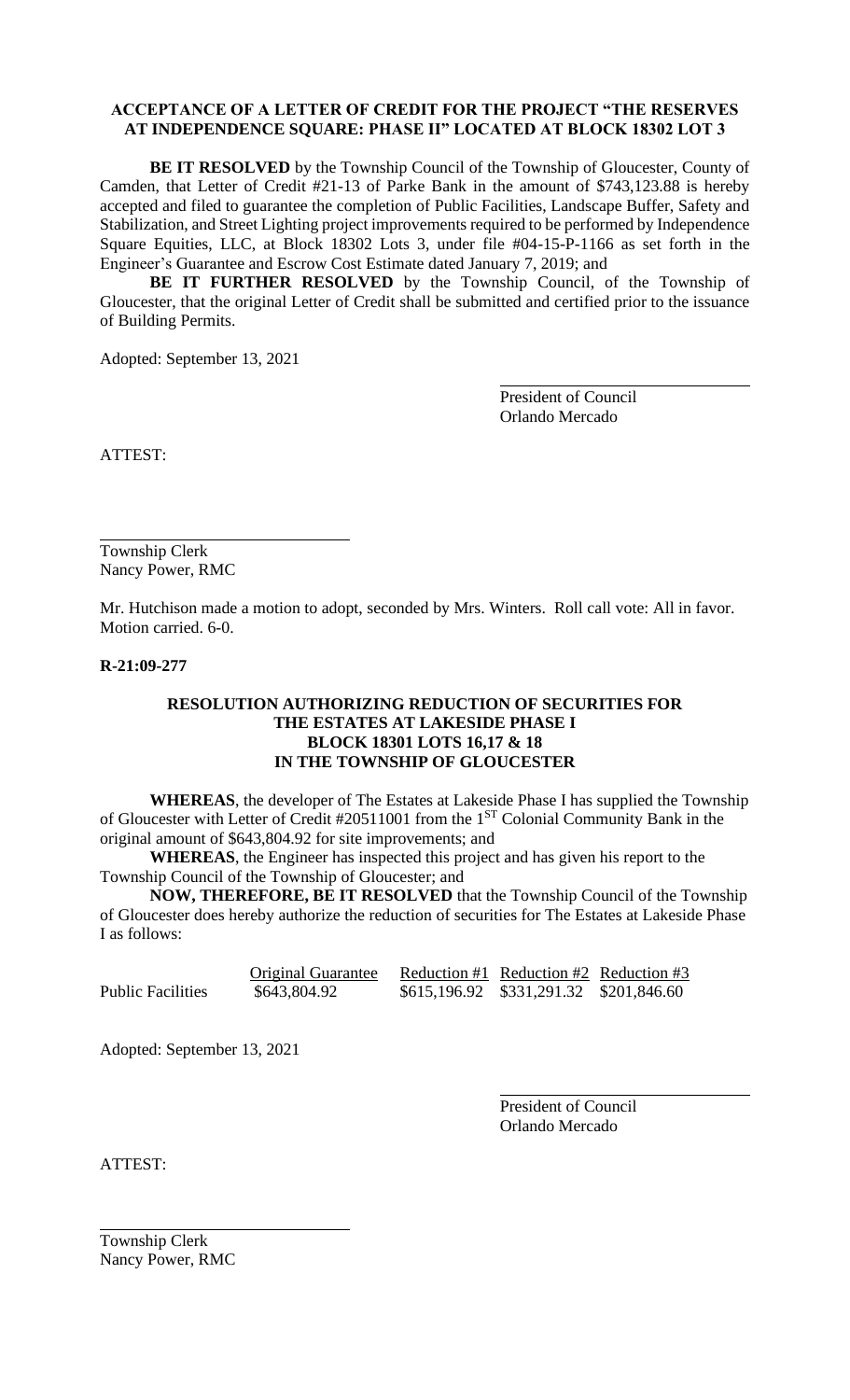## **ACCEPTANCE OF A LETTER OF CREDIT FOR THE PROJECT "THE RESERVES AT INDEPENDENCE SQUARE: PHASE II" LOCATED AT BLOCK 18302 LOT 3**

**BE IT RESOLVED** by the Township Council of the Township of Gloucester, County of Camden, that Letter of Credit #21-13 of Parke Bank in the amount of \$743,123.88 is hereby accepted and filed to guarantee the completion of Public Facilities, Landscape Buffer, Safety and Stabilization, and Street Lighting project improvements required to be performed by Independence Square Equities, LLC, at Block 18302 Lots 3, under file #04-15-P-1166 as set forth in the Engineer's Guarantee and Escrow Cost Estimate dated January 7, 2019; and

**BE IT FURTHER RESOLVED** by the Township Council, of the Township of Gloucester, that the original Letter of Credit shall be submitted and certified prior to the issuance of Building Permits.

Adopted: September 13, 2021

President of Council Orlando Mercado

ATTEST:

Township Clerk Nancy Power, RMC

Mr. Hutchison made a motion to adopt, seconded by Mrs. Winters. Roll call vote: All in favor. Motion carried. 6-0.

**R-21:09-277**

## **RESOLUTION AUTHORIZING REDUCTION OF SECURITIES FOR THE ESTATES AT LAKESIDE PHASE I BLOCK 18301 LOTS 16,17 & 18 IN THE TOWNSHIP OF GLOUCESTER**

**WHEREAS**, the developer of The Estates at Lakeside Phase I has supplied the Township of Gloucester with Letter of Credit #20511001 from the 1<sup>ST</sup> Colonial Community Bank in the original amount of \$643,804.92 for site improvements; and

**WHEREAS**, the Engineer has inspected this project and has given his report to the Township Council of the Township of Gloucester; and

**NOW, THEREFORE, BE IT RESOLVED** that the Township Council of the Township of Gloucester does hereby authorize the reduction of securities for The Estates at Lakeside Phase I as follows:

Original Guarantee Reduction #1 Reduction #2 Reduction #3 Public Facilities  $$643,804.92$   $$615,196.92$   $$331,291.32$   $$201,846.60$ 

Adopted: September 13, 2021

President of Council Orlando Mercado

ATTEST:

Township Clerk Nancy Power, RMC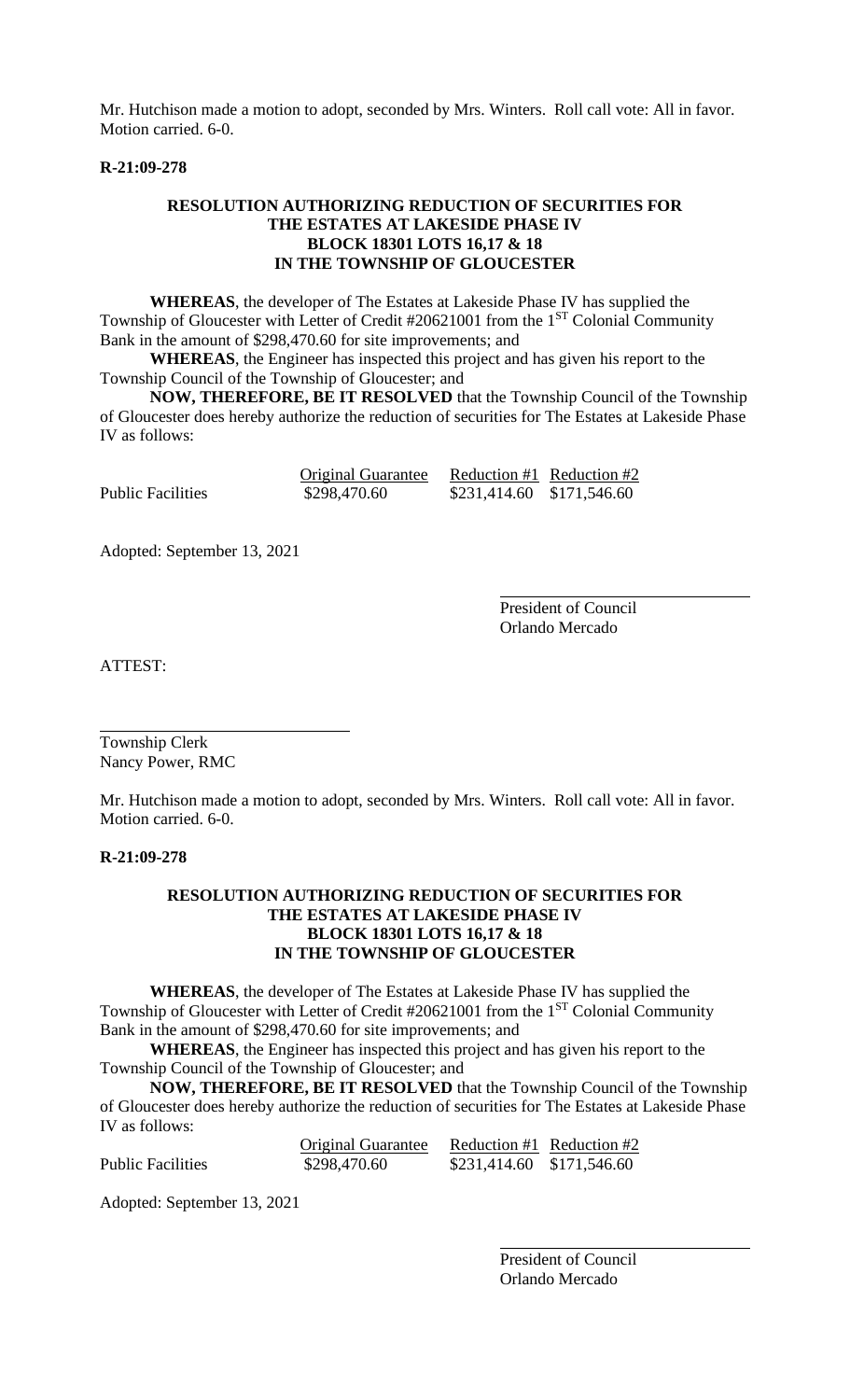Mr. Hutchison made a motion to adopt, seconded by Mrs. Winters. Roll call vote: All in favor. Motion carried. 6-0.

#### **R-21:09-278**

## **RESOLUTION AUTHORIZING REDUCTION OF SECURITIES FOR THE ESTATES AT LAKESIDE PHASE IV BLOCK 18301 LOTS 16,17 & 18 IN THE TOWNSHIP OF GLOUCESTER**

**WHEREAS**, the developer of The Estates at Lakeside Phase IV has supplied the Township of Gloucester with Letter of Credit #20621001 from the 1<sup>ST</sup> Colonial Community Bank in the amount of \$298,470.60 for site improvements; and

**WHEREAS**, the Engineer has inspected this project and has given his report to the Township Council of the Township of Gloucester; and

**NOW, THEREFORE, BE IT RESOLVED** that the Township Council of the Township of Gloucester does hereby authorize the reduction of securities for The Estates at Lakeside Phase IV as follows:

|                   | <b>Original Guarantee</b> | Reduction #1 Reduction #2 |  |
|-------------------|---------------------------|---------------------------|--|
| Public Facilities | \$298,470.60              | \$231,414.60 \$171,546.60 |  |

Adopted: September 13, 2021

President of Council Orlando Mercado

ATTEST:

Township Clerk Nancy Power, RMC

Mr. Hutchison made a motion to adopt, seconded by Mrs. Winters. Roll call vote: All in favor. Motion carried. 6-0.

## **R-21:09-278**

## **RESOLUTION AUTHORIZING REDUCTION OF SECURITIES FOR THE ESTATES AT LAKESIDE PHASE IV BLOCK 18301 LOTS 16,17 & 18 IN THE TOWNSHIP OF GLOUCESTER**

**WHEREAS**, the developer of The Estates at Lakeside Phase IV has supplied the Township of Gloucester with Letter of Credit #20621001 from the 1<sup>ST</sup> Colonial Community Bank in the amount of \$298,470.60 for site improvements; and

**WHEREAS**, the Engineer has inspected this project and has given his report to the Township Council of the Township of Gloucester; and

**NOW, THEREFORE, BE IT RESOLVED** that the Township Council of the Township of Gloucester does hereby authorize the reduction of securities for The Estates at Lakeside Phase IV as follows:

|                          | <b>Original Guarantee</b> | Reduction #1 Reduction #2 |  |
|--------------------------|---------------------------|---------------------------|--|
| <b>Public Facilities</b> | \$298,470.60              | \$231,414.60 \$171,546.60 |  |

Adopted: September 13, 2021

President of Council Orlando Mercado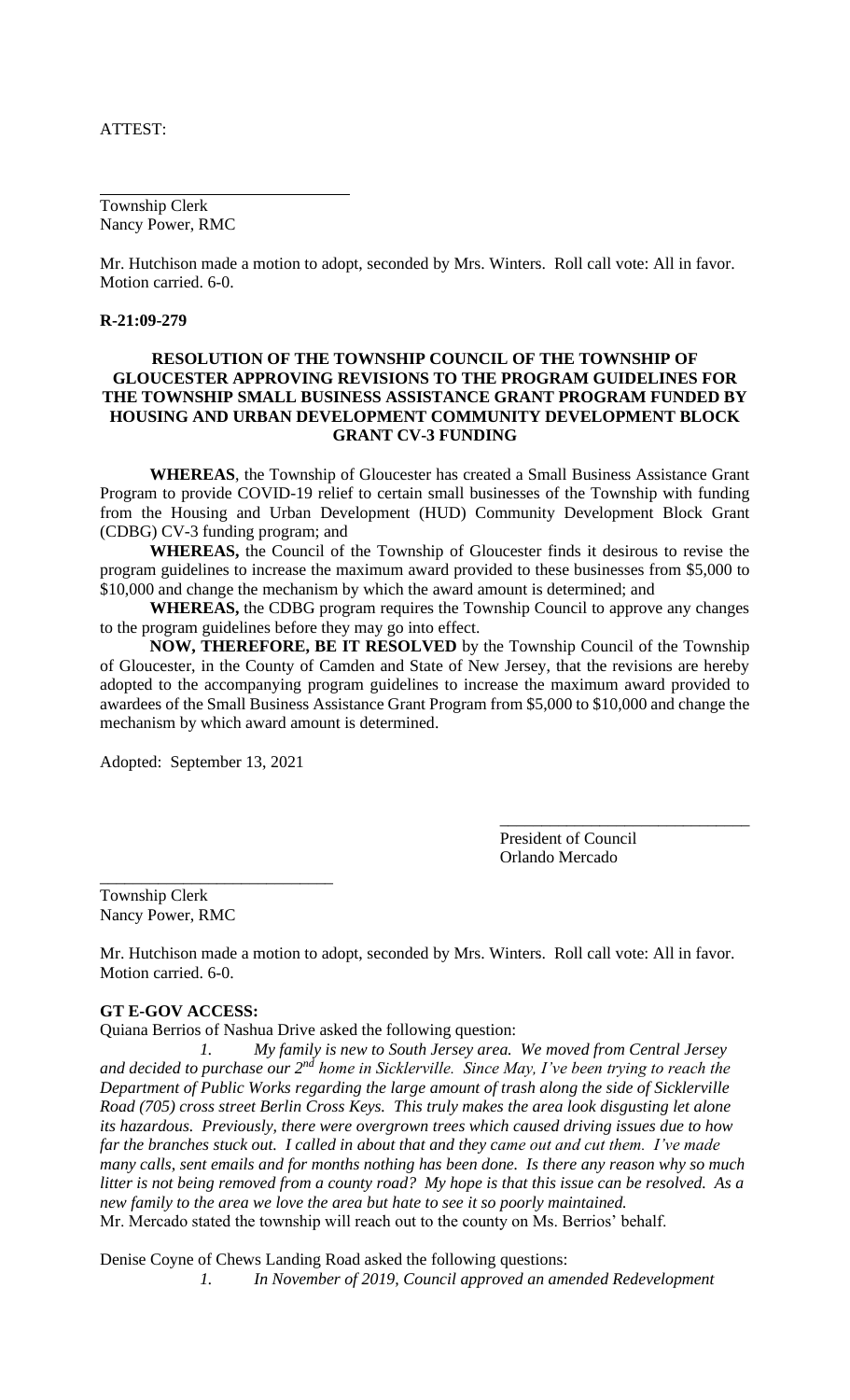ATTEST:

Township Clerk Nancy Power, RMC

Mr. Hutchison made a motion to adopt, seconded by Mrs. Winters. Roll call vote: All in favor. Motion carried. 6-0.

#### **R-21:09-279**

## **RESOLUTION OF THE TOWNSHIP COUNCIL OF THE TOWNSHIP OF GLOUCESTER APPROVING REVISIONS TO THE PROGRAM GUIDELINES FOR THE TOWNSHIP SMALL BUSINESS ASSISTANCE GRANT PROGRAM FUNDED BY HOUSING AND URBAN DEVELOPMENT COMMUNITY DEVELOPMENT BLOCK GRANT CV-3 FUNDING**

**WHEREAS**, the Township of Gloucester has created a Small Business Assistance Grant Program to provide COVID-19 relief to certain small businesses of the Township with funding from the Housing and Urban Development (HUD) Community Development Block Grant (CDBG) CV-3 funding program; and

**WHEREAS,** the Council of the Township of Gloucester finds it desirous to revise the program guidelines to increase the maximum award provided to these businesses from \$5,000 to \$10,000 and change the mechanism by which the award amount is determined; and

**WHEREAS,** the CDBG program requires the Township Council to approve any changes to the program guidelines before they may go into effect.

**NOW, THEREFORE, BE IT RESOLVED** by the Township Council of the Township of Gloucester, in the County of Camden and State of New Jersey, that the revisions are hereby adopted to the accompanying program guidelines to increase the maximum award provided to awardees of the Small Business Assistance Grant Program from \$5,000 to \$10,000 and change the mechanism by which award amount is determined.

Adopted: September 13, 2021

\_\_\_\_\_\_\_\_\_\_\_\_\_\_\_\_\_\_\_\_\_\_\_\_\_\_\_\_

President of Council Orlando Mercado

\_\_\_\_\_\_\_\_\_\_\_\_\_\_\_\_\_\_\_\_\_\_\_\_\_\_\_\_\_\_

Township Clerk Nancy Power, RMC

Mr. Hutchison made a motion to adopt, seconded by Mrs. Winters. Roll call vote: All in favor. Motion carried. 6-0.

#### **GT E-GOV ACCESS:**

Quiana Berrios of Nashua Drive asked the following question:

*1. My family is new to South Jersey area. We moved from Central Jersey and decided to purchase our 2nd home in Sicklerville. Since May, I've been trying to reach the Department of Public Works regarding the large amount of trash along the side of Sicklerville Road (705) cross street Berlin Cross Keys. This truly makes the area look disgusting let alone its hazardous. Previously, there were overgrown trees which caused driving issues due to how far the branches stuck out. I called in about that and they came out and cut them. I've made many calls, sent emails and for months nothing has been done. Is there any reason why so much litter is not being removed from a county road? My hope is that this issue can be resolved. As a new family to the area we love the area but hate to see it so poorly maintained.*  Mr. Mercado stated the township will reach out to the county on Ms. Berrios' behalf.

Denise Coyne of Chews Landing Road asked the following questions:

*1. In November of 2019, Council approved an amended Redevelopment*